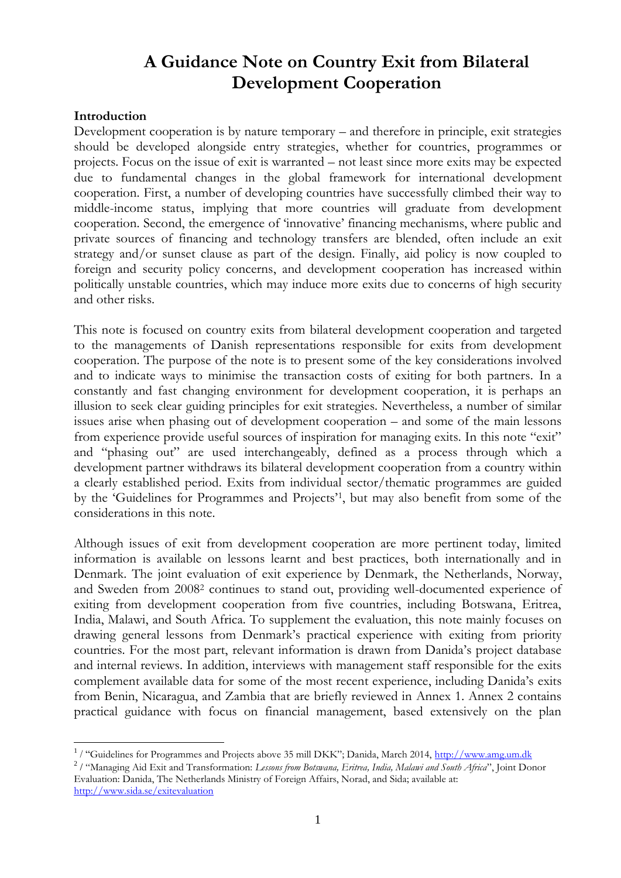# **A Guidance Note on Country Exit from Bilateral Development Cooperation**

#### **Introduction**

 $\overline{a}$ 

Development cooperation is by nature temporary – and therefore in principle, exit strategies should be developed alongside entry strategies, whether for countries, programmes or projects. Focus on the issue of exit is warranted – not least since more exits may be expected due to fundamental changes in the global framework for international development cooperation. First, a number of developing countries have successfully climbed their way to middle-income status, implying that more countries will graduate from development cooperation. Second, the emergence of 'innovative' financing mechanisms, where public and private sources of financing and technology transfers are blended, often include an exit strategy and/or sunset clause as part of the design. Finally, aid policy is now coupled to foreign and security policy concerns, and development cooperation has increased within politically unstable countries, which may induce more exits due to concerns of high security and other risks.

This note is focused on country exits from bilateral development cooperation and targeted to the managements of Danish representations responsible for exits from development cooperation. The purpose of the note is to present some of the key considerations involved and to indicate ways to minimise the transaction costs of exiting for both partners*.* In a constantly and fast changing environment for development cooperation, it is perhaps an illusion to seek clear guiding principles for exit strategies. Nevertheless, a number of similar issues arise when phasing out of development cooperation – and some of the main lessons from experience provide useful sources of inspiration for managing exits. In this note "exit" and "phasing out" are used interchangeably, defined as a process through which a development partner withdraws its bilateral development cooperation from a country within a clearly established period. Exits from individual sector/thematic programmes are guided by the 'Guidelines for Programmes and Projects'<sup>1</sup> , but may also benefit from some of the considerations in this note.

Although issues of exit from development cooperation are more pertinent today, limited information is available on lessons learnt and best practices, both internationally and in Denmark. The joint evaluation of exit experience by Denmark, the Netherlands, Norway, and Sweden from 2008<sup>2</sup> continues to stand out, providing well-documented experience of exiting from development cooperation from five countries, including Botswana, Eritrea, India, Malawi, and South Africa. To supplement the evaluation, this note mainly focuses on drawing general lessons from Denmark's practical experience with exiting from priority countries. For the most part, relevant information is drawn from Danida's project database and internal reviews. In addition, interviews with management staff responsible for the exits complement available data for some of the most recent experience, including Danida's exits from Benin, Nicaragua, and Zambia that are briefly reviewed in Annex 1. Annex 2 contains practical guidance with focus on financial management, based extensively on the plan

<sup>&</sup>lt;sup>1</sup>/ "Guidelines for Programmes and Projects above 35 mill DKK"; Danida, March 2014, [http://www.amg.um.dk](http://www.amg.um.dk/)

<sup>2</sup> / "Managing Aid Exit and Transformation: *Lessons from Botswana, Eritrea, India, Malawi and South Africa*", Joint Donor Evaluation: Danida, The Netherlands Ministry of Foreign Affairs, Norad, and Sida; available at: <http://www.sida.se/exitevaluation>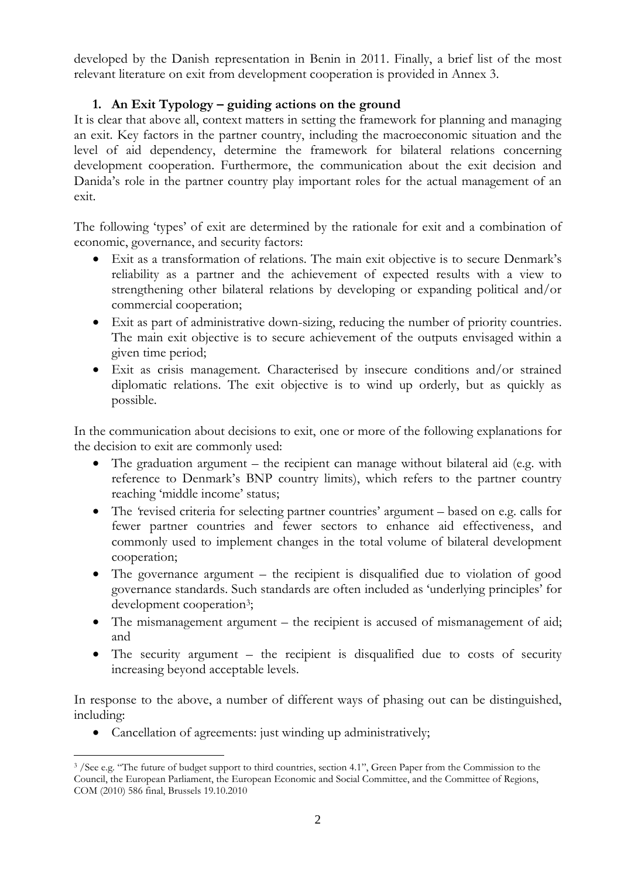developed by the Danish representation in Benin in 2011. Finally, a brief list of the most relevant literature on exit from development cooperation is provided in Annex 3.

## **1. An Exit Typology – guiding actions on the ground**

It is clear that above all, context matters in setting the framework for planning and managing an exit. Key factors in the partner country, including the macroeconomic situation and the level of aid dependency, determine the framework for bilateral relations concerning development cooperation. Furthermore, the communication about the exit decision and Danida's role in the partner country play important roles for the actual management of an exit.

The following 'types' of exit are determined by the rationale for exit and a combination of economic, governance, and security factors:

- Exit as a transformation of relations. The main exit objective is to secure Denmark's reliability as a partner and the achievement of expected results with a view to strengthening other bilateral relations by developing or expanding political and/or commercial cooperation;
- Exit as part of administrative down-sizing, reducing the number of priority countries. The main exit objective is to secure achievement of the outputs envisaged within a given time period;
- Exit as crisis management. Characterised by insecure conditions and/or strained diplomatic relations. The exit objective is to wind up orderly, but as quickly as possible.

In the communication about decisions to exit, one or more of the following explanations for the decision to exit are commonly used:

- The graduation argument the recipient can manage without bilateral aid (e.g. with reference to Denmark's BNP country limits), which refers to the partner country reaching 'middle income' status;
- The 'revised criteria for selecting partner countries' argument based on e.g. calls for fewer partner countries and fewer sectors to enhance aid effectiveness, and commonly used to implement changes in the total volume of bilateral development cooperation;
- The governance argument the recipient is disqualified due to violation of good governance standards. Such standards are often included as 'underlying principles' for development cooperation<sup>3</sup>;
- The mismanagement argument the recipient is accused of mismanagement of aid; and
- The security argument the recipient is disqualified due to costs of security increasing beyond acceptable levels.

In response to the above, a number of different ways of phasing out can be distinguished, including:

Cancellation of agreements: just winding up administratively;

 $\overline{a}$ <sup>3</sup>/See e.g. "The future of budget support to third countries, section 4.1", Green Paper from the Commission to the Council, the European Parliament, the European Economic and Social Committee, and the Committee of Regions, COM (2010) 586 final, Brussels 19.10.2010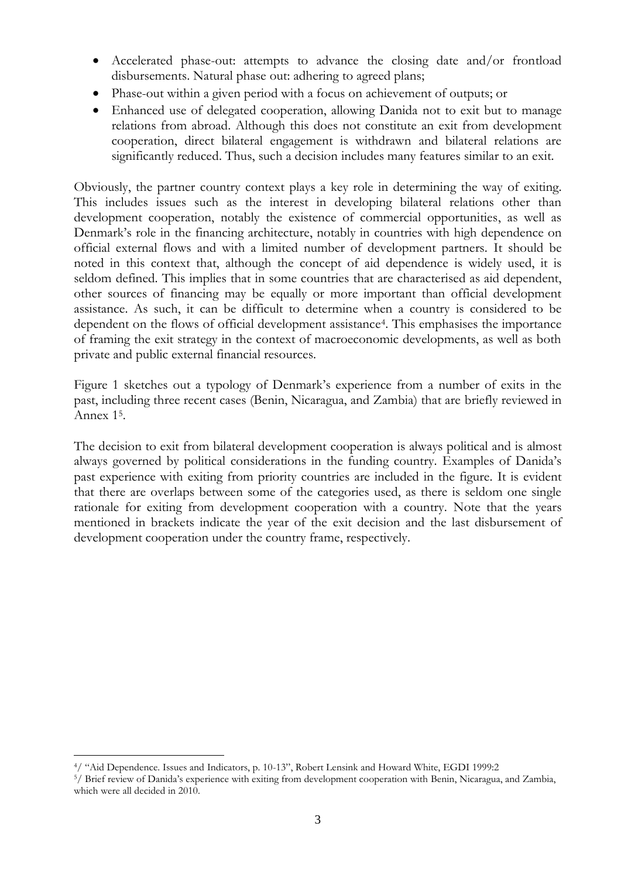- Accelerated phase-out: attempts to advance the closing date and/or frontload disbursements. Natural phase out: adhering to agreed plans;
- Phase-out within a given period with a focus on achievement of outputs; or
- Enhanced use of delegated cooperation, allowing Danida not to exit but to manage relations from abroad. Although this does not constitute an exit from development cooperation, direct bilateral engagement is withdrawn and bilateral relations are significantly reduced. Thus, such a decision includes many features similar to an exit.

Obviously, the partner country context plays a key role in determining the way of exiting. This includes issues such as the interest in developing bilateral relations other than development cooperation, notably the existence of commercial opportunities, as well as Denmark's role in the financing architecture, notably in countries with high dependence on official external flows and with a limited number of development partners. It should be noted in this context that, although the concept of aid dependence is widely used, it is seldom defined. This implies that in some countries that are characterised as aid dependent, other sources of financing may be equally or more important than official development assistance. As such, it can be difficult to determine when a country is considered to be dependent on the flows of official development assistance<sup>4</sup>. This emphasises the importance of framing the exit strategy in the context of macroeconomic developments, as well as both private and public external financial resources.

Figure 1 sketches out a typology of Denmark's experience from a number of exits in the past, including three recent cases (Benin, Nicaragua, and Zambia) that are briefly reviewed in Annex 1<sup>5</sup> .

The decision to exit from bilateral development cooperation is always political and is almost always governed by political considerations in the funding country. Examples of Danida's past experience with exiting from priority countries are included in the figure. It is evident that there are overlaps between some of the categories used, as there is seldom one single rationale for exiting from development cooperation with a country. Note that the years mentioned in brackets indicate the year of the exit decision and the last disbursement of development cooperation under the country frame, respectively.

 $\overline{a}$ <sup>4</sup>/ "Aid Dependence. Issues and Indicators, p. 10-13", Robert Lensink and Howard White, EGDI 1999:2

<sup>5</sup>/ Brief review of Danida's experience with exiting from development cooperation with Benin, Nicaragua, and Zambia, which were all decided in 2010.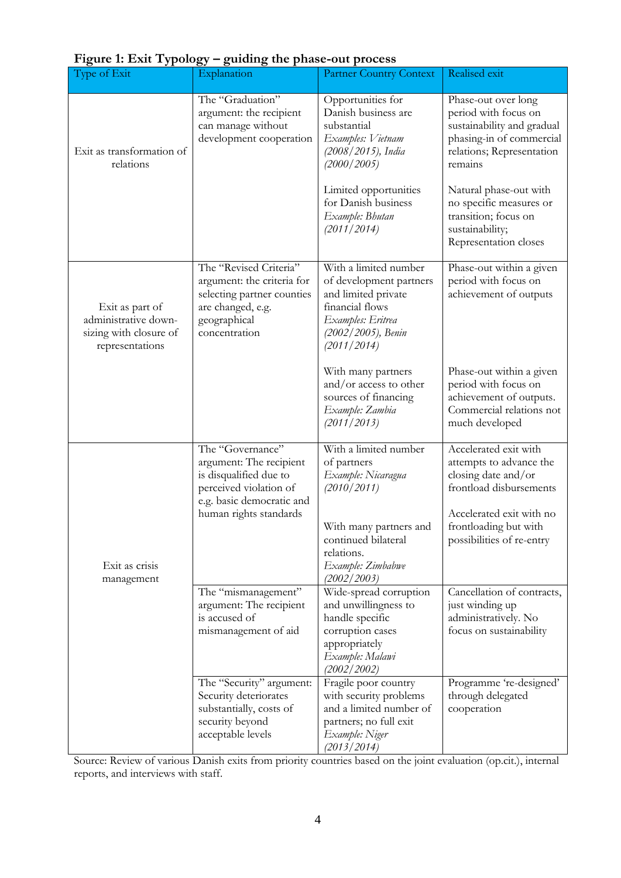| Type of Exit                                                                         | Explanation                                                                                                                                            | <b>Partner Country Context</b>                                                                                                                                               | Realised exit                                                                                                                                                                        |
|--------------------------------------------------------------------------------------|--------------------------------------------------------------------------------------------------------------------------------------------------------|------------------------------------------------------------------------------------------------------------------------------------------------------------------------------|--------------------------------------------------------------------------------------------------------------------------------------------------------------------------------------|
| Exit as transformation of<br>relations                                               | The "Graduation"<br>argument: the recipient<br>can manage without<br>development cooperation                                                           | Opportunities for<br>Danish business are<br>substantial<br>Examples: Vietnam<br>(2008 / 2015), India<br>(2000/2005)                                                          | Phase-out over long<br>period with focus on<br>sustainability and gradual<br>phasing-in of commercial<br>relations; Representation<br>remains                                        |
|                                                                                      |                                                                                                                                                        | Limited opportunities<br>for Danish business<br>Example: Bhutan<br>(2011/2014)                                                                                               | Natural phase-out with<br>no specific measures or<br>transition; focus on<br>sustainability;<br>Representation closes                                                                |
| Exit as part of<br>administrative down-<br>sizing with closure of<br>representations | The "Revised Criteria"<br>argument: the criteria for<br>selecting partner counties<br>are changed, e.g.<br>geographical<br>concentration               | With a limited number<br>of development partners<br>and limited private<br>financial flows<br>Examples: Eritrea<br>(2002/2005), Benin<br>(2011/2014)                         | Phase-out within a given<br>period with focus on<br>achievement of outputs                                                                                                           |
|                                                                                      |                                                                                                                                                        | With many partners<br>and/or access to other<br>sources of financing<br>Example: Zambia<br>(2011/2013)                                                                       | Phase-out within a given<br>period with focus on<br>achievement of outputs.<br>Commercial relations not<br>much developed                                                            |
| Exit as crisis<br>management                                                         | The "Governance"<br>argument: The recipient<br>is disqualified due to<br>perceived violation of<br>e.g. basic democratic and<br>human rights standards | With a limited number<br>of partners<br>Example: Nicaragua<br>(2010/2011)<br>With many partners and<br>continued bilateral<br>relations.<br>Example: Zimbabwe<br>(2002/2003) | Accelerated exit with<br>attempts to advance the<br>closing date and/or<br>frontload disbursements<br>Accelerated exit with no<br>frontloading but with<br>possibilities of re-entry |
|                                                                                      | The "mismanagement"<br>argument: The recipient<br>is accused of<br>mismanagement of aid                                                                | Wide-spread corruption<br>and unwillingness to<br>handle specific<br>corruption cases<br>appropriately<br>Example: Malawi<br>(2002/2002)                                     | Cancellation of contracts,<br>just winding up<br>administratively. No<br>focus on sustainability                                                                                     |
|                                                                                      | The "Security" argument:<br>Security deteriorates<br>substantially, costs of<br>security beyond<br>acceptable levels                                   | Fragile poor country<br>with security problems<br>and a limited number of<br>partners; no full exit<br>Example: Niger<br>(2013/2014)                                         | Programme 're-designed'<br>through delegated<br>cooperation                                                                                                                          |

## **Figure 1: Exit Typology – guiding the phase-out process**

Source: Review of various Danish exits from priority countries based on the joint evaluation (op.cit.), internal reports, and interviews with staff.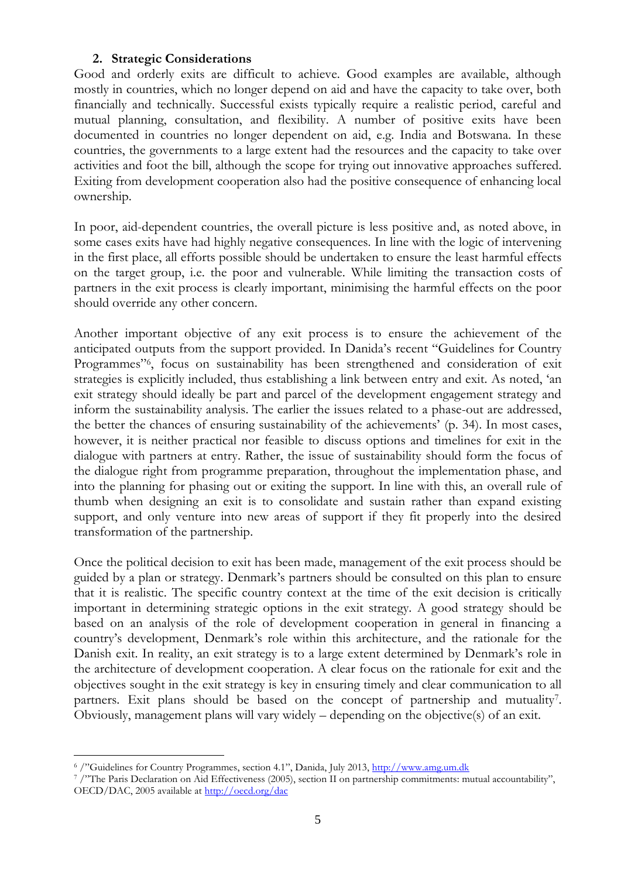### **2. Strategic Considerations**

Good and orderly exits are difficult to achieve. Good examples are available, although mostly in countries, which no longer depend on aid and have the capacity to take over, both financially and technically. Successful exists typically require a realistic period, careful and mutual planning, consultation, and flexibility. A number of positive exits have been documented in countries no longer dependent on aid, e.g. India and Botswana. In these countries, the governments to a large extent had the resources and the capacity to take over activities and foot the bill, although the scope for trying out innovative approaches suffered. Exiting from development cooperation also had the positive consequence of enhancing local ownership.

In poor, aid-dependent countries, the overall picture is less positive and, as noted above, in some cases exits have had highly negative consequences. In line with the logic of intervening in the first place, all efforts possible should be undertaken to ensure the least harmful effects on the target group, i.e. the poor and vulnerable. While limiting the transaction costs of partners in the exit process is clearly important, minimising the harmful effects on the poor should override any other concern.

Another important objective of any exit process is to ensure the achievement of the anticipated outputs from the support provided. In Danida's recent "Guidelines for Country Programmes"<sup>6</sup>, focus on sustainability has been strengthened and consideration of exit strategies is explicitly included, thus establishing a link between entry and exit. As noted, 'an exit strategy should ideally be part and parcel of the development engagement strategy and inform the sustainability analysis. The earlier the issues related to a phase-out are addressed, the better the chances of ensuring sustainability of the achievements' (p. 34). In most cases, however, it is neither practical nor feasible to discuss options and timelines for exit in the dialogue with partners at entry. Rather, the issue of sustainability should form the focus of the dialogue right from programme preparation, throughout the implementation phase, and into the planning for phasing out or exiting the support. In line with this, an overall rule of thumb when designing an exit is to consolidate and sustain rather than expand existing support, and only venture into new areas of support if they fit properly into the desired transformation of the partnership.

Once the political decision to exit has been made, management of the exit process should be guided by a plan or strategy. Denmark's partners should be consulted on this plan to ensure that it is realistic. The specific country context at the time of the exit decision is critically important in determining strategic options in the exit strategy. A good strategy should be based on an analysis of the role of development cooperation in general in financing a country's development, Denmark's role within this architecture, and the rationale for the Danish exit. In reality, an exit strategy is to a large extent determined by Denmark's role in the architecture of development cooperation. A clear focus on the rationale for exit and the objectives sought in the exit strategy is key in ensuring timely and clear communication to all partners. Exit plans should be based on the concept of partnership and mutuality<sup>7</sup>. Obviously, management plans will vary widely – depending on the objective(s) of an exit.

 $\overline{a}$ <sup>6</sup> /"Guidelines for Country Programmes, section 4.1", Danida, July 2013[, http://www.amg.um.dk](http://www.amg.um.dk/)

<sup>7</sup> /"The Paris Declaration on Aid Effectiveness (2005), section II on partnership commitments: mutual accountability", OECD/DAC, 2005 available at<http://oecd.org/dac>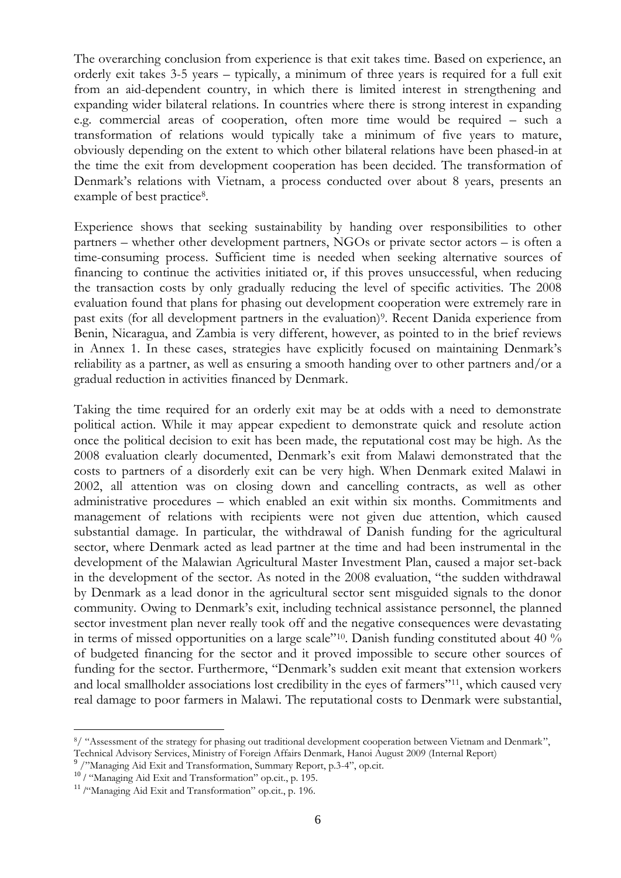The overarching conclusion from experience is that exit takes time. Based on experience, an orderly exit takes 3-5 years – typically, a minimum of three years is required for a full exit from an aid-dependent country, in which there is limited interest in strengthening and expanding wider bilateral relations. In countries where there is strong interest in expanding e.g. commercial areas of cooperation, often more time would be required – such a transformation of relations would typically take a minimum of five years to mature, obviously depending on the extent to which other bilateral relations have been phased-in at the time the exit from development cooperation has been decided. The transformation of Denmark's relations with Vietnam, a process conducted over about 8 years, presents an example of best practice<sup>8</sup>.

Experience shows that seeking sustainability by handing over responsibilities to other partners – whether other development partners, NGOs or private sector actors – is often a time-consuming process. Sufficient time is needed when seeking alternative sources of financing to continue the activities initiated or, if this proves unsuccessful, when reducing the transaction costs by only gradually reducing the level of specific activities. The 2008 evaluation found that plans for phasing out development cooperation were extremely rare in past exits (for all development partners in the evaluation) 9 . Recent Danida experience from Benin, Nicaragua, and Zambia is very different, however, as pointed to in the brief reviews in Annex 1. In these cases, strategies have explicitly focused on maintaining Denmark's reliability as a partner, as well as ensuring a smooth handing over to other partners and/or a gradual reduction in activities financed by Denmark.

Taking the time required for an orderly exit may be at odds with a need to demonstrate political action. While it may appear expedient to demonstrate quick and resolute action once the political decision to exit has been made, the reputational cost may be high. As the 2008 evaluation clearly documented, Denmark's exit from Malawi demonstrated that the costs to partners of a disorderly exit can be very high. When Denmark exited Malawi in 2002, all attention was on closing down and cancelling contracts, as well as other administrative procedures – which enabled an exit within six months. Commitments and management of relations with recipients were not given due attention, which caused substantial damage. In particular, the withdrawal of Danish funding for the agricultural sector, where Denmark acted as lead partner at the time and had been instrumental in the development of the Malawian Agricultural Master Investment Plan, caused a major set-back in the development of the sector. As noted in the 2008 evaluation, "the sudden withdrawal by Denmark as a lead donor in the agricultural sector sent misguided signals to the donor community. Owing to Denmark's exit, including technical assistance personnel, the planned sector investment plan never really took off and the negative consequences were devastating in terms of missed opportunities on a large scale"10. Danish funding constituted about 40 % of budgeted financing for the sector and it proved impossible to secure other sources of funding for the sector. Furthermore, "Denmark's sudden exit meant that extension workers and local smallholder associations lost credibility in the eyes of farmers"<sup>11</sup>, which caused very real damage to poor farmers in Malawi. The reputational costs to Denmark were substantial,

 $\overline{a}$ 

<sup>8</sup>/ "Assessment of the strategy for phasing out traditional development cooperation between Vietnam and Denmark", Technical Advisory Services, Ministry of Foreign Affairs Denmark, Hanoi August 2009 (Internal Report)

<sup>9</sup> /"Managing Aid Exit and Transformation, Summary Report, p.3-4", op.cit.

<sup>&</sup>lt;sup>10</sup>/ "Managing Aid Exit and Transformation" op.cit., p. 195.

<sup>&</sup>lt;sup>11</sup> /"Managing Aid Exit and Transformation" op.cit., p. 196.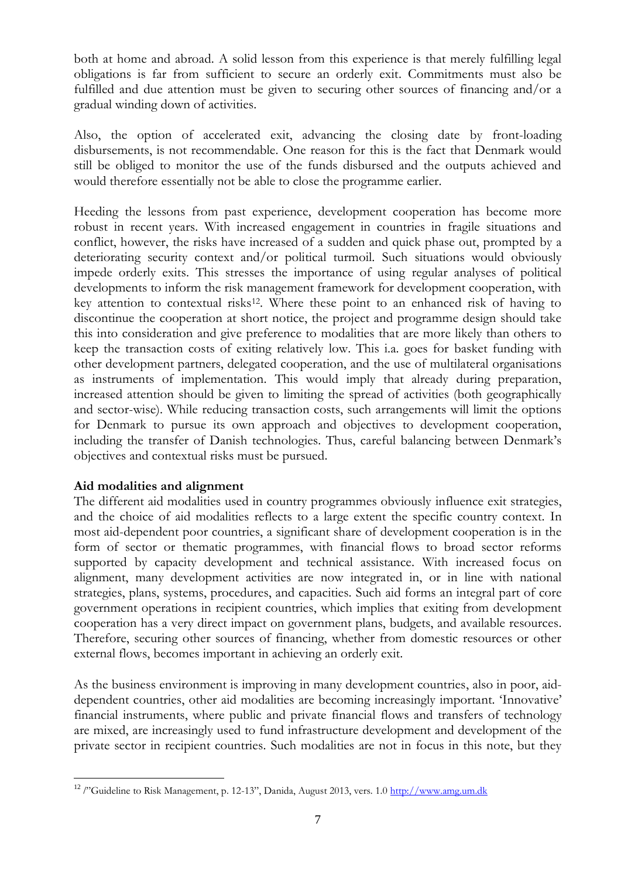both at home and abroad. A solid lesson from this experience is that merely fulfilling legal obligations is far from sufficient to secure an orderly exit. Commitments must also be fulfilled and due attention must be given to securing other sources of financing and/or a gradual winding down of activities.

Also, the option of accelerated exit, advancing the closing date by front-loading disbursements, is not recommendable. One reason for this is the fact that Denmark would still be obliged to monitor the use of the funds disbursed and the outputs achieved and would therefore essentially not be able to close the programme earlier.

Heeding the lessons from past experience, development cooperation has become more robust in recent years. With increased engagement in countries in fragile situations and conflict, however, the risks have increased of a sudden and quick phase out, prompted by a deteriorating security context and/or political turmoil. Such situations would obviously impede orderly exits. This stresses the importance of using regular analyses of political developments to inform the risk management framework for development cooperation, with key attention to contextual risks<sup>12</sup>. Where these point to an enhanced risk of having to discontinue the cooperation at short notice, the project and programme design should take this into consideration and give preference to modalities that are more likely than others to keep the transaction costs of exiting relatively low. This i.a. goes for basket funding with other development partners, delegated cooperation, and the use of multilateral organisations as instruments of implementation. This would imply that already during preparation, increased attention should be given to limiting the spread of activities (both geographically and sector-wise). While reducing transaction costs, such arrangements will limit the options for Denmark to pursue its own approach and objectives to development cooperation, including the transfer of Danish technologies. Thus, careful balancing between Denmark's objectives and contextual risks must be pursued.

### **Aid modalities and alignment**

 $\overline{a}$ 

The different aid modalities used in country programmes obviously influence exit strategies, and the choice of aid modalities reflects to a large extent the specific country context. In most aid-dependent poor countries, a significant share of development cooperation is in the form of sector or thematic programmes, with financial flows to broad sector reforms supported by capacity development and technical assistance. With increased focus on alignment, many development activities are now integrated in, or in line with national strategies, plans, systems, procedures, and capacities. Such aid forms an integral part of core government operations in recipient countries, which implies that exiting from development cooperation has a very direct impact on government plans, budgets, and available resources. Therefore, securing other sources of financing, whether from domestic resources or other external flows, becomes important in achieving an orderly exit.

As the business environment is improving in many development countries, also in poor, aiddependent countries, other aid modalities are becoming increasingly important. 'Innovative' financial instruments, where public and private financial flows and transfers of technology are mixed, are increasingly used to fund infrastructure development and development of the private sector in recipient countries. Such modalities are not in focus in this note, but they

<sup>&</sup>lt;sup>12</sup> /"Guideline to Risk Management, p. 12-13", Danida, August 2013, vers. 1.0 [http://www.amg.um.dk](http://www.amg.um.dk/)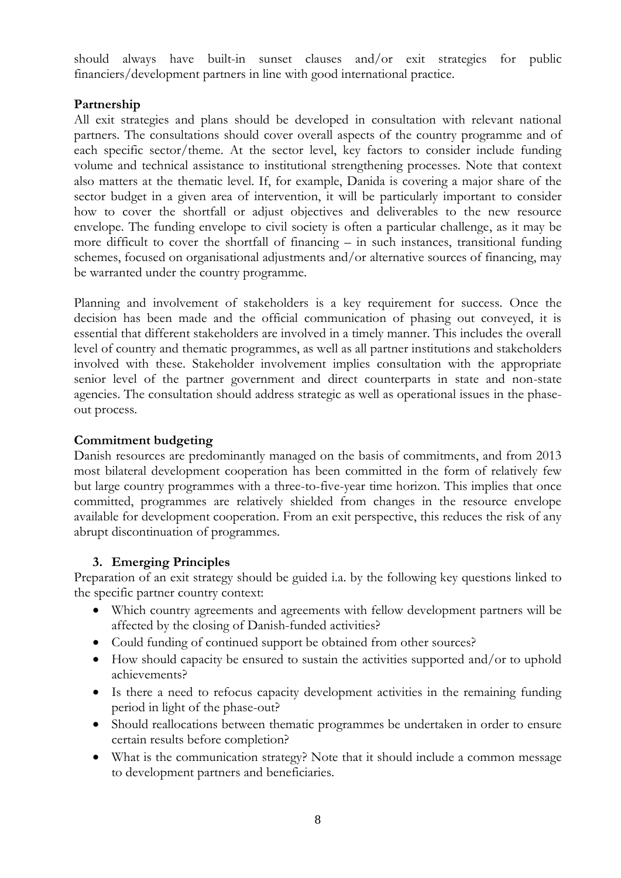should always have built-in sunset clauses and/or exit strategies for public financiers/development partners in line with good international practice.

## **Partnership**

All exit strategies and plans should be developed in consultation with relevant national partners. The consultations should cover overall aspects of the country programme and of each specific sector/theme. At the sector level, key factors to consider include funding volume and technical assistance to institutional strengthening processes. Note that context also matters at the thematic level. If, for example, Danida is covering a major share of the sector budget in a given area of intervention, it will be particularly important to consider how to cover the shortfall or adjust objectives and deliverables to the new resource envelope. The funding envelope to civil society is often a particular challenge, as it may be more difficult to cover the shortfall of financing – in such instances, transitional funding schemes, focused on organisational adjustments and/or alternative sources of financing, may be warranted under the country programme.

Planning and involvement of stakeholders is a key requirement for success. Once the decision has been made and the official communication of phasing out conveyed, it is essential that different stakeholders are involved in a timely manner. This includes the overall level of country and thematic programmes, as well as all partner institutions and stakeholders involved with these. Stakeholder involvement implies consultation with the appropriate senior level of the partner government and direct counterparts in state and non-state agencies. The consultation should address strategic as well as operational issues in the phaseout process.

## **Commitment budgeting**

Danish resources are predominantly managed on the basis of commitments, and from 2013 most bilateral development cooperation has been committed in the form of relatively few but large country programmes with a three-to-five-year time horizon. This implies that once committed, programmes are relatively shielded from changes in the resource envelope available for development cooperation. From an exit perspective, this reduces the risk of any abrupt discontinuation of programmes.

## **3. Emerging Principles**

Preparation of an exit strategy should be guided i.a. by the following key questions linked to the specific partner country context:

- Which country agreements and agreements with fellow development partners will be affected by the closing of Danish-funded activities?
- Could funding of continued support be obtained from other sources?
- How should capacity be ensured to sustain the activities supported and/or to uphold achievements?
- Is there a need to refocus capacity development activities in the remaining funding period in light of the phase-out?
- Should reallocations between thematic programmes be undertaken in order to ensure certain results before completion?
- What is the communication strategy? Note that it should include a common message to development partners and beneficiaries.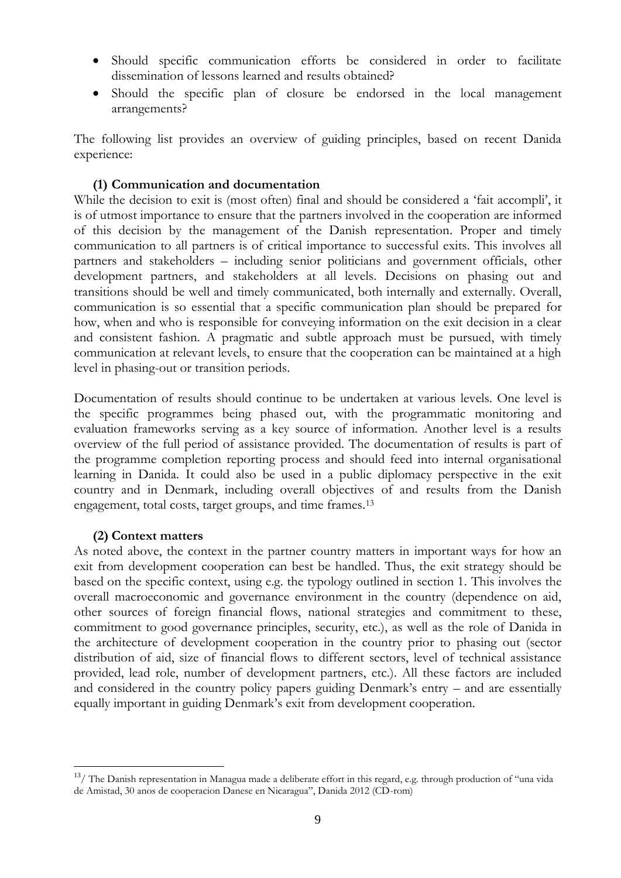- Should specific communication efforts be considered in order to facilitate dissemination of lessons learned and results obtained?
- Should the specific plan of closure be endorsed in the local management arrangements?

The following list provides an overview of guiding principles, based on recent Danida experience:

### **(1) Communication and documentation**

While the decision to exit is (most often) final and should be considered a 'fait accompli', it is of utmost importance to ensure that the partners involved in the cooperation are informed of this decision by the management of the Danish representation. Proper and timely communication to all partners is of critical importance to successful exits. This involves all partners and stakeholders – including senior politicians and government officials, other development partners, and stakeholders at all levels. Decisions on phasing out and transitions should be well and timely communicated, both internally and externally. Overall, communication is so essential that a specific communication plan should be prepared for how, when and who is responsible for conveying information on the exit decision in a clear and consistent fashion. A pragmatic and subtle approach must be pursued, with timely communication at relevant levels, to ensure that the cooperation can be maintained at a high level in phasing-out or transition periods.

Documentation of results should continue to be undertaken at various levels. One level is the specific programmes being phased out, with the programmatic monitoring and evaluation frameworks serving as a key source of information. Another level is a results overview of the full period of assistance provided. The documentation of results is part of the programme completion reporting process and should feed into internal organisational learning in Danida. It could also be used in a public diplomacy perspective in the exit country and in Denmark, including overall objectives of and results from the Danish engagement, total costs, target groups, and time frames. 13

### **(2) Context matters**

 $\overline{a}$ 

As noted above, the context in the partner country matters in important ways for how an exit from development cooperation can best be handled. Thus, the exit strategy should be based on the specific context, using e.g. the typology outlined in section 1. This involves the overall macroeconomic and governance environment in the country (dependence on aid, other sources of foreign financial flows, national strategies and commitment to these, commitment to good governance principles, security, etc.), as well as the role of Danida in the architecture of development cooperation in the country prior to phasing out (sector distribution of aid, size of financial flows to different sectors, level of technical assistance provided, lead role, number of development partners, etc.). All these factors are included and considered in the country policy papers guiding Denmark's entry – and are essentially equally important in guiding Denmark's exit from development cooperation.

 $13/$  The Danish representation in Managua made a deliberate effort in this regard, e.g. through production of "una vida de Amistad, 30 anos de cooperacion Danese en Nicaragua", Danida 2012 (CD-rom)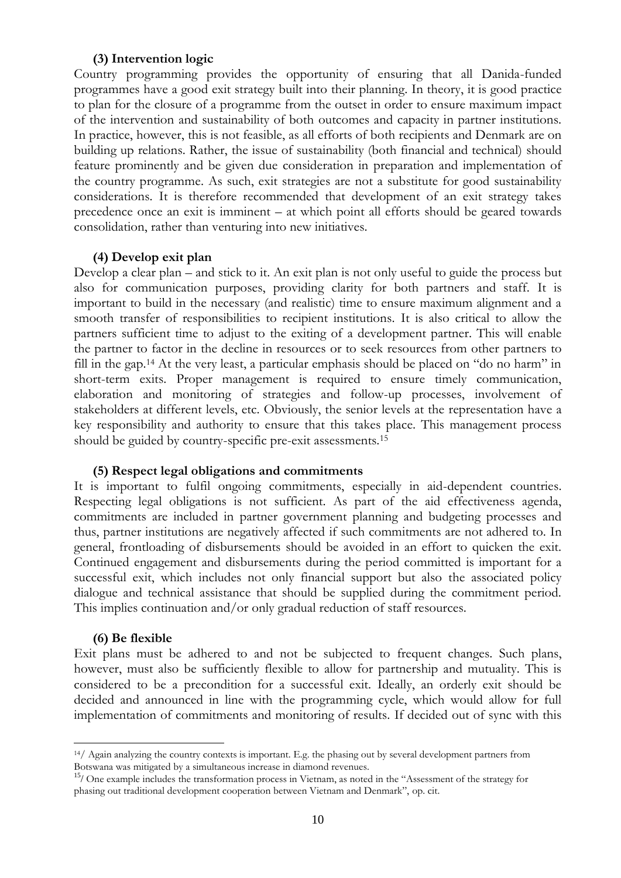#### **(3) Intervention logic**

Country programming provides the opportunity of ensuring that all Danida-funded programmes have a good exit strategy built into their planning. In theory, it is good practice to plan for the closure of a programme from the outset in order to ensure maximum impact of the intervention and sustainability of both outcomes and capacity in partner institutions. In practice, however, this is not feasible, as all efforts of both recipients and Denmark are on building up relations. Rather, the issue of sustainability (both financial and technical) should feature prominently and be given due consideration in preparation and implementation of the country programme. As such, exit strategies are not a substitute for good sustainability considerations. It is therefore recommended that development of an exit strategy takes precedence once an exit is imminent – at which point all efforts should be geared towards consolidation, rather than venturing into new initiatives.

#### **(4) Develop exit plan**

Develop a clear plan – and stick to it. An exit plan is not only useful to guide the process but also for communication purposes, providing clarity for both partners and staff. It is important to build in the necessary (and realistic) time to ensure maximum alignment and a smooth transfer of responsibilities to recipient institutions. It is also critical to allow the partners sufficient time to adjust to the exiting of a development partner. This will enable the partner to factor in the decline in resources or to seek resources from other partners to fill in the gap.<sup>14</sup> At the very least, a particular emphasis should be placed on "do no harm" in short-term exits. Proper management is required to ensure timely communication, elaboration and monitoring of strategies and follow-up processes, involvement of stakeholders at different levels, etc. Obviously, the senior levels at the representation have a key responsibility and authority to ensure that this takes place. This management process should be guided by country-specific pre-exit assessments.<sup>15</sup>

#### **(5) Respect legal obligations and commitments**

It is important to fulfil ongoing commitments, especially in aid-dependent countries. Respecting legal obligations is not sufficient. As part of the aid effectiveness agenda, commitments are included in partner government planning and budgeting processes and thus, partner institutions are negatively affected if such commitments are not adhered to. In general, frontloading of disbursements should be avoided in an effort to quicken the exit. Continued engagement and disbursements during the period committed is important for a successful exit, which includes not only financial support but also the associated policy dialogue and technical assistance that should be supplied during the commitment period. This implies continuation and/or only gradual reduction of staff resources.

#### **(6) Be flexible**

 $\overline{a}$ 

Exit plans must be adhered to and not be subjected to frequent changes. Such plans, however, must also be sufficiently flexible to allow for partnership and mutuality. This is considered to be a precondition for a successful exit. Ideally, an orderly exit should be decided and announced in line with the programming cycle, which would allow for full implementation of commitments and monitoring of results. If decided out of sync with this

 $14/$  Again analyzing the country contexts is important. E.g. the phasing out by several development partners from Botswana was mitigated by a simultaneous increase in diamond revenues.

<sup>&</sup>lt;sup>15</sup>/ One example includes the transformation process in Vietnam, as noted in the "Assessment of the strategy for phasing out traditional development cooperation between Vietnam and Denmark", op. cit.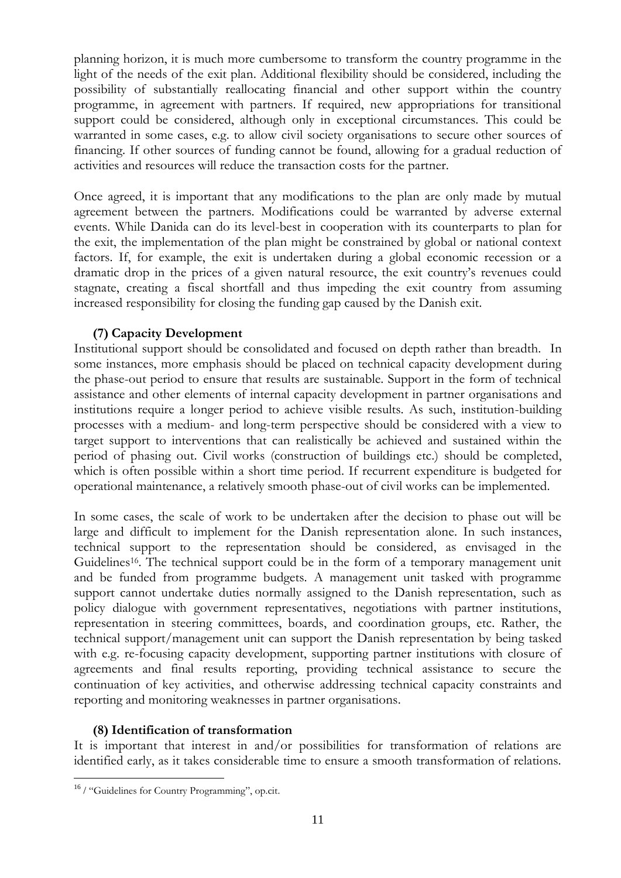planning horizon, it is much more cumbersome to transform the country programme in the light of the needs of the exit plan. Additional flexibility should be considered, including the possibility of substantially reallocating financial and other support within the country programme, in agreement with partners. If required, new appropriations for transitional support could be considered, although only in exceptional circumstances. This could be warranted in some cases, e.g. to allow civil society organisations to secure other sources of financing. If other sources of funding cannot be found, allowing for a gradual reduction of activities and resources will reduce the transaction costs for the partner.

Once agreed, it is important that any modifications to the plan are only made by mutual agreement between the partners. Modifications could be warranted by adverse external events. While Danida can do its level-best in cooperation with its counterparts to plan for the exit, the implementation of the plan might be constrained by global or national context factors. If, for example, the exit is undertaken during a global economic recession or a dramatic drop in the prices of a given natural resource, the exit country's revenues could stagnate, creating a fiscal shortfall and thus impeding the exit country from assuming increased responsibility for closing the funding gap caused by the Danish exit.

## **(7) Capacity Development**

Institutional support should be consolidated and focused on depth rather than breadth. In some instances, more emphasis should be placed on technical capacity development during the phase-out period to ensure that results are sustainable. Support in the form of technical assistance and other elements of internal capacity development in partner organisations and institutions require a longer period to achieve visible results. As such, institution-building processes with a medium- and long-term perspective should be considered with a view to target support to interventions that can realistically be achieved and sustained within the period of phasing out. Civil works (construction of buildings etc.) should be completed, which is often possible within a short time period. If recurrent expenditure is budgeted for operational maintenance, a relatively smooth phase-out of civil works can be implemented.

In some cases, the scale of work to be undertaken after the decision to phase out will be large and difficult to implement for the Danish representation alone. In such instances, technical support to the representation should be considered, as envisaged in the Guidelines<sup>16</sup>. The technical support could be in the form of a temporary management unit and be funded from programme budgets. A management unit tasked with programme support cannot undertake duties normally assigned to the Danish representation, such as policy dialogue with government representatives, negotiations with partner institutions, representation in steering committees, boards, and coordination groups, etc. Rather, the technical support/management unit can support the Danish representation by being tasked with e.g. re-focusing capacity development, supporting partner institutions with closure of agreements and final results reporting, providing technical assistance to secure the continuation of key activities, and otherwise addressing technical capacity constraints and reporting and monitoring weaknesses in partner organisations.

### **(8) Identification of transformation**

It is important that interest in and/or possibilities for transformation of relations are identified early, as it takes considerable time to ensure a smooth transformation of relations.

 $\overline{a}$ 

<sup>&</sup>lt;sup>16</sup> / "Guidelines for Country Programming", op.cit.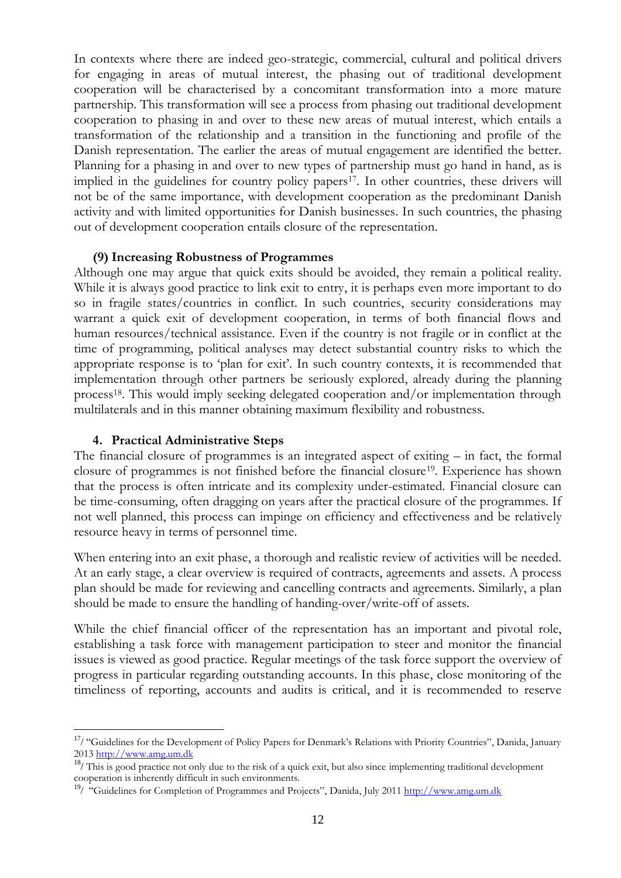In contexts where there are indeed geo-strategic, commercial, cultural and political drivers for engaging in areas of mutual interest, the phasing out of traditional development cooperation will be characterised by a concomitant transformation into a more mature partnership. This transformation will see a process from phasing out traditional development cooperation to phasing in and over to these new areas of mutual interest, which entails a transformation of the relationship and a transition in the functioning and profile of the Danish representation. The earlier the areas of mutual engagement are identified the better. Planning for a phasing in and over to new types of partnership must go hand in hand, as is implied in the guidelines for country policy papers<sup>17</sup>. In other countries, these drivers will not be of the same importance, with development cooperation as the predominant Danish activity and with limited opportunities for Danish businesses. In such countries, the phasing out of development cooperation entails closure of the representation.

#### **(9) Increasing Robustness of Programmes**

Although one may argue that quick exits should be avoided, they remain a political reality. While it is always good practice to link exit to entry, it is perhaps even more important to do so in fragile states/countries in conflict. In such countries, security considerations may warrant a quick exit of development cooperation, in terms of both financial flows and human resources/technical assistance. Even if the country is not fragile or in conflict at the time of programming, political analyses may detect substantial country risks to which the appropriate response is to 'plan for exit'. In such country contexts, it is recommended that implementation through other partners be seriously explored, already during the planning process18. This would imply seeking delegated cooperation and/or implementation through multilaterals and in this manner obtaining maximum flexibility and robustness.

#### **4. Practical Administrative Steps**

 $\overline{a}$ 

The financial closure of programmes is an integrated aspect of exiting – in fact, the formal closure of programmes is not finished before the financial closure19. Experience has shown that the process is often intricate and its complexity under-estimated. Financial closure can be time-consuming, often dragging on years after the practical closure of the programmes. If not well planned, this process can impinge on efficiency and effectiveness and be relatively resource heavy in terms of personnel time.

When entering into an exit phase, a thorough and realistic review of activities will be needed. At an early stage, a clear overview is required of contracts, agreements and assets. A process plan should be made for reviewing and cancelling contracts and agreements. Similarly, a plan should be made to ensure the handling of handing-over/write-off of assets.

While the chief financial officer of the representation has an important and pivotal role, establishing a task force with management participation to steer and monitor the financial issues is viewed as good practice. Regular meetings of the task force support the overview of progress in particular regarding outstanding accounts. In this phase, close monitoring of the timeliness of reporting, accounts and audits is critical, and it is recommended to reserve

<sup>&</sup>lt;sup>17</sup>/ "Guidelines for the Development of Policy Papers for Denmark's Relations with Priority Countries", Danida, January 2013 <u>http://www.amg.um.dk</u>

 $18/$  This is good practice not only due to the risk of a quick exit, but also since implementing traditional development cooperation is inherently difficult in such environments.

<sup>&</sup>lt;sup>19</sup>/ "Guidelines for Completion of Programmes and Projects", Danida, July 2011 [http://www.amg.um.dk](http://www.amg.um.dk/)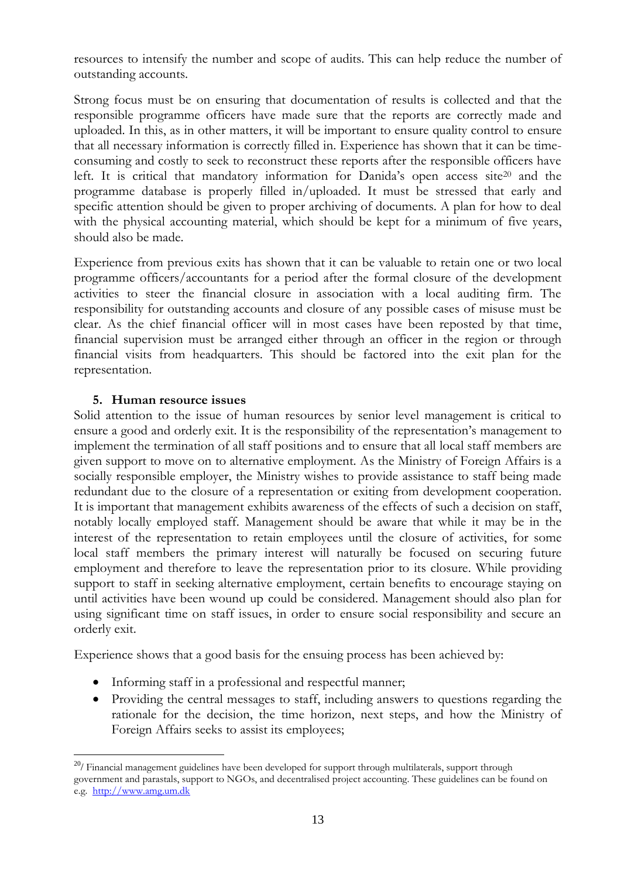resources to intensify the number and scope of audits. This can help reduce the number of outstanding accounts.

Strong focus must be on ensuring that documentation of results is collected and that the responsible programme officers have made sure that the reports are correctly made and uploaded. In this, as in other matters, it will be important to ensure quality control to ensure that all necessary information is correctly filled in. Experience has shown that it can be timeconsuming and costly to seek to reconstruct these reports after the responsible officers have left. It is critical that mandatory information for Danida's open access site<sup>20</sup> and the programme database is properly filled in/uploaded. It must be stressed that early and specific attention should be given to proper archiving of documents. A plan for how to deal with the physical accounting material, which should be kept for a minimum of five years, should also be made.

Experience from previous exits has shown that it can be valuable to retain one or two local programme officers/accountants for a period after the formal closure of the development activities to steer the financial closure in association with a local auditing firm. The responsibility for outstanding accounts and closure of any possible cases of misuse must be clear. As the chief financial officer will in most cases have been reposted by that time, financial supervision must be arranged either through an officer in the region or through financial visits from headquarters. This should be factored into the exit plan for the representation.

### **5. Human resource issues**

Solid attention to the issue of human resources by senior level management is critical to ensure a good and orderly exit. It is the responsibility of the representation's management to implement the termination of all staff positions and to ensure that all local staff members are given support to move on to alternative employment. As the Ministry of Foreign Affairs is a socially responsible employer, the Ministry wishes to provide assistance to staff being made redundant due to the closure of a representation or exiting from development cooperation. It is important that management exhibits awareness of the effects of such a decision on staff, notably locally employed staff. Management should be aware that while it may be in the interest of the representation to retain employees until the closure of activities, for some local staff members the primary interest will naturally be focused on securing future employment and therefore to leave the representation prior to its closure. While providing support to staff in seeking alternative employment, certain benefits to encourage staying on until activities have been wound up could be considered. Management should also plan for using significant time on staff issues, in order to ensure social responsibility and secure an orderly exit.

Experience shows that a good basis for the ensuing process has been achieved by:

- Informing staff in a professional and respectful manner;
- Providing the central messages to staff, including answers to questions regarding the rationale for the decision, the time horizon, next steps, and how the Ministry of Foreign Affairs seeks to assist its employees;

 $\overline{a}$ <sup>20</sup>/ Financial management guidelines have been developed for support through multilaterals, support through government and parastals, support to NGOs, and decentralised project accounting. These guidelines can be found on e.g. [http://www.amg.um.dk](http://www.amg.um.dk/)